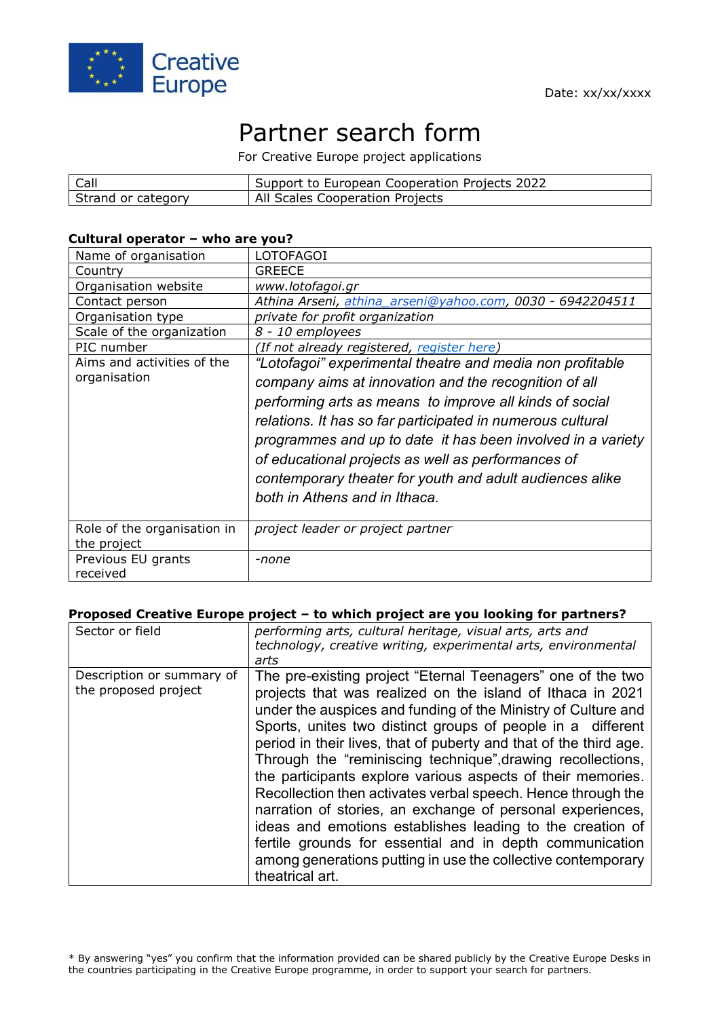

# Partner search form

For Creative Europe project applications

| Call               | Support to European Cooperation Projects 2022 |
|--------------------|-----------------------------------------------|
| Strand or category | All Scales Cooperation Projects               |

#### **Cultural operator – who are you?**

| Name of organisation                       | <b>LOTOFAGOI</b>                                                                                                                                                                                                                                                                                                                                                                                                                                              |
|--------------------------------------------|---------------------------------------------------------------------------------------------------------------------------------------------------------------------------------------------------------------------------------------------------------------------------------------------------------------------------------------------------------------------------------------------------------------------------------------------------------------|
| Country                                    | <b>GREECE</b>                                                                                                                                                                                                                                                                                                                                                                                                                                                 |
| Organisation website                       | www.lotofagoi.gr                                                                                                                                                                                                                                                                                                                                                                                                                                              |
| Contact person                             | Athina Arseni, athina arseni@yahoo.com, 0030 - 6942204511                                                                                                                                                                                                                                                                                                                                                                                                     |
| Organisation type                          | private for profit organization                                                                                                                                                                                                                                                                                                                                                                                                                               |
| Scale of the organization                  | 8 - 10 employees                                                                                                                                                                                                                                                                                                                                                                                                                                              |
| PIC number                                 | (If not already registered, register here)                                                                                                                                                                                                                                                                                                                                                                                                                    |
| Aims and activities of the<br>organisation | "Lotofagoi" experimental theatre and media non profitable<br>company aims at innovation and the recognition of all<br>performing arts as means to improve all kinds of social<br>relations. It has so far participated in numerous cultural<br>programmes and up to date it has been involved in a variety<br>of educational projects as well as performances of<br>contemporary theater for youth and adult audiences alike<br>both in Athens and in Ithaca. |
| Role of the organisation in<br>the project | project leader or project partner                                                                                                                                                                                                                                                                                                                                                                                                                             |
| Previous EU grants<br>received             | -none                                                                                                                                                                                                                                                                                                                                                                                                                                                         |

#### **Proposed Creative Europe project – to which project are you looking for partners?**

| Sector or field                                   | performing arts, cultural heritage, visual arts, arts and<br>technology, creative writing, experimental arts, environmental<br>arts                                                                                                                                                                                                                                                                                                                                                                                                                                                                                                                                                                                                                                                                    |
|---------------------------------------------------|--------------------------------------------------------------------------------------------------------------------------------------------------------------------------------------------------------------------------------------------------------------------------------------------------------------------------------------------------------------------------------------------------------------------------------------------------------------------------------------------------------------------------------------------------------------------------------------------------------------------------------------------------------------------------------------------------------------------------------------------------------------------------------------------------------|
| Description or summary of<br>the proposed project | The pre-existing project "Eternal Teenagers" one of the two<br>projects that was realized on the island of Ithaca in 2021<br>under the auspices and funding of the Ministry of Culture and<br>Sports, unites two distinct groups of people in a different<br>period in their lives, that of puberty and that of the third age.<br>Through the "reminiscing technique", drawing recollections,<br>the participants explore various aspects of their memories.<br>Recollection then activates verbal speech. Hence through the<br>narration of stories, an exchange of personal experiences,<br>ideas and emotions establishes leading to the creation of<br>fertile grounds for essential and in depth communication<br>among generations putting in use the collective contemporary<br>theatrical art. |